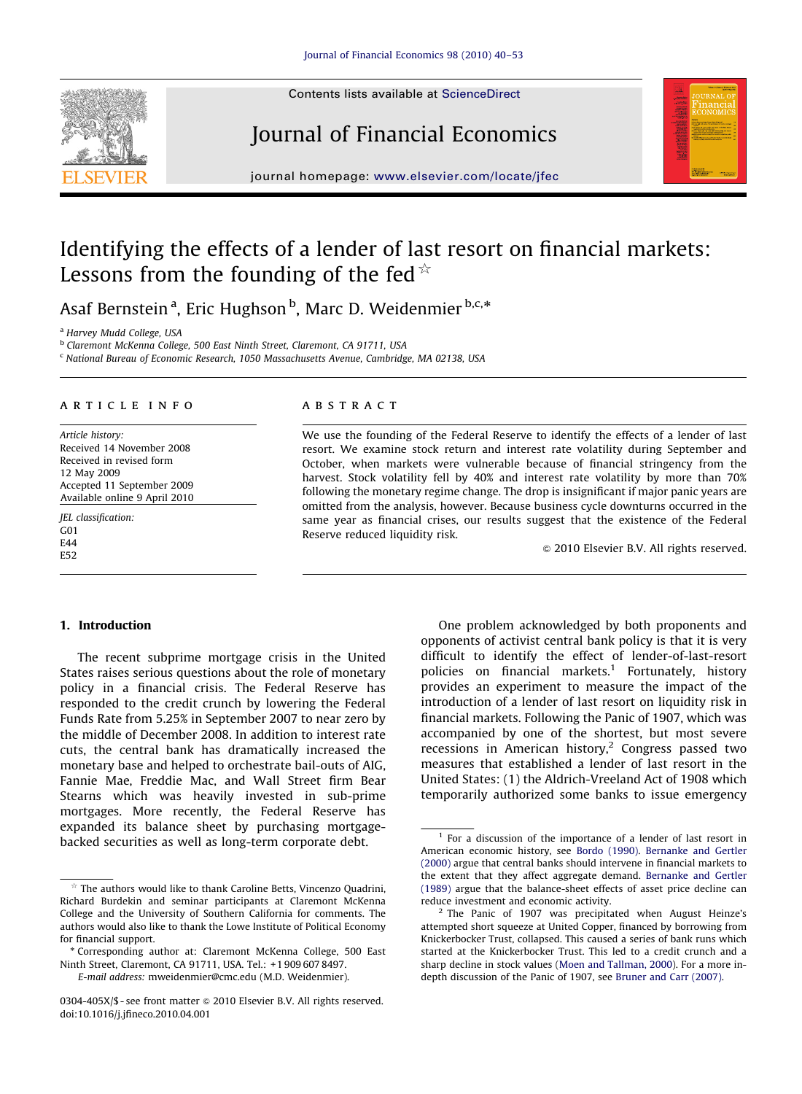Contents lists available at ScienceDirect



## Journal of Financial Economics



journal homepage: <www.elsevier.com/locate/jfec>

## Identifying the effects of a lender of last resort on financial markets: Lessons from the founding of the fed  $\dot{\alpha}$

Asaf Bernstein<sup>a</sup>, Eric Hughson<sup>b</sup>, Marc D. Weidenmier<sup>b,c,</sup>\*

<sup>a</sup> Harvey Mudd College, USA

<sup>b</sup> Claremont McKenna College, 500 East Ninth Street, Claremont, CA 91711, USA

<sup>c</sup> National Bureau of Economic Research, 1050 Massachusetts Avenue, Cambridge, MA 02138, USA

#### article info

Article history: Received 14 November 2008 Received in revised form 12 May 2009 Accepted 11 September 2009 Available online 9 April 2010

JEL classification: G01 E44 E52

#### **ABSTRACT**

We use the founding of the Federal Reserve to identify the effects of a lender of last resort. We examine stock return and interest rate volatility during September and October, when markets were vulnerable because of financial stringency from the harvest. Stock volatility fell by 40% and interest rate volatility by more than 70% following the monetary regime change. The drop is insignificant if major panic years are omitted from the analysis, however. Because business cycle downturns occurred in the same year as financial crises, our results suggest that the existence of the Federal Reserve reduced liquidity risk.

 $© 2010 Elsevier B.V. All rights reserved.$ 

### 1. Introduction

The recent subprime mortgage crisis in the United States raises serious questions about the role of monetary policy in a financial crisis. The Federal Reserve has responded to the credit crunch by lowering the Federal Funds Rate from 5.25% in September 2007 to near zero by the middle of December 2008. In addition to interest rate cuts, the central bank has dramatically increased the monetary base and helped to orchestrate bail-outs of AIG, Fannie Mae, Freddie Mac, and Wall Street firm Bear Stearns which was heavily invested in sub-prime mortgages. More recently, the Federal Reserve has expanded its balance sheet by purchasing mortgagebacked securities as well as long-term corporate debt.

One problem acknowledged by both proponents and opponents of activist central bank policy is that it is very difficult to identify the effect of lender-of-last-resort policies on financial markets.<sup>1</sup> Fortunately, history provides an experiment to measure the impact of the introduction of a lender of last resort on liquidity risk in financial markets. Following the Panic of 1907, which was accompanied by one of the shortest, but most severe recessions in American history, $2$  Congress passed two measures that established a lender of last resort in the United States: (1) the Aldrich-Vreeland Act of 1908 which temporarily authorized some banks to issue emergency

 $*$  The authors would like to thank Caroline Betts, Vincenzo Quadrini, Richard Burdekin and seminar participants at Claremont McKenna College and the University of Southern California for comments. The authors would also like to thank the Lowe Institute of Political Economy for financial support.

Corresponding author at: Claremont McKenna College, 500 East Ninth Street, Claremont, CA 91711, USA. Tel.: +1 909 607 8497.

E-mail address: [mweidenmier@cmc.edu \(M.D. Weidenmier\).](mailto:mweidenmier@cmc.edu)

<sup>0304-405</sup>X/\$ - see front matter  $\odot$  2010 Elsevier B.V. All rights reserved. doi:[10.1016/j.jfineco.2010.04.001](dx.doi.org/10.1016/j.jfineco.2010.04.001)

<sup>1</sup> For a discussion of the importance of a lender of last resort in American economic history, see [Bordo \(1990\)](#page--1-0). [Bernanke and Gertler](#page--1-0) [\(2000\)](#page--1-0) argue that central banks should intervene in financial markets to the extent that they affect aggregate demand. [Bernanke and Gertler](#page--1-0) [\(1989\)](#page--1-0) argue that the balance-sheet effects of asset price decline can reduce investment and economic activity.

<sup>&</sup>lt;sup>2</sup> The Panic of 1907 was precipitated when August Heinze's attempted short squeeze at United Copper, financed by borrowing from Knickerbocker Trust, collapsed. This caused a series of bank runs which started at the Knickerbocker Trust. This led to a credit crunch and a sharp decline in stock values ([Moen and Tallman, 2000](#page--1-0)). For a more indepth discussion of the Panic of 1907, see [Bruner and Carr \(2007\)](#page--1-0).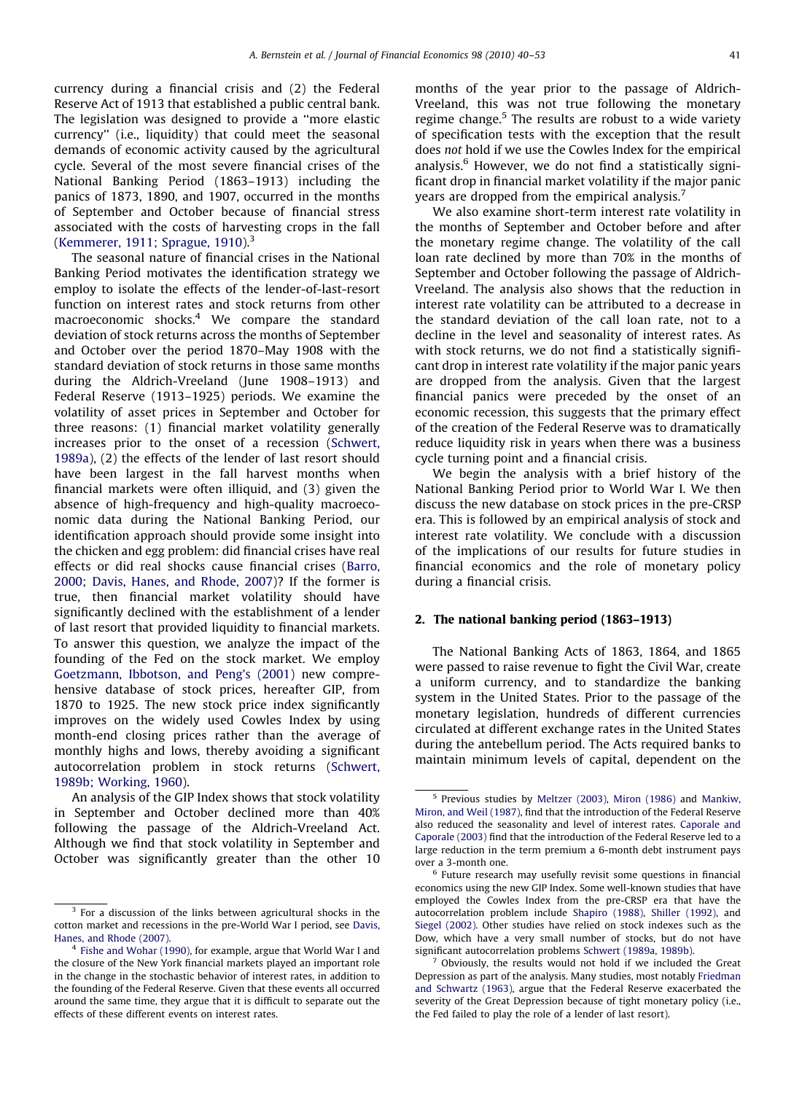currency during a financial crisis and (2) the Federal Reserve Act of 1913 that established a public central bank. The legislation was designed to provide a ''more elastic currency'' (i.e., liquidity) that could meet the seasonal demands of economic activity caused by the agricultural cycle. Several of the most severe financial crises of the National Banking Period (1863–1913) including the panics of 1873, 1890, and 1907, occurred in the months of September and October because of financial stress associated with the costs of harvesting crops in the fall ([Kemmerer, 1911; Sprague, 1910\)](#page--1-0).<sup>3</sup>

The seasonal nature of financial crises in the National Banking Period motivates the identification strategy we employ to isolate the effects of the lender-of-last-resort function on interest rates and stock returns from other macroeconomic shocks.4 We compare the standard deviation of stock returns across the months of September and October over the period 1870–May 1908 with the standard deviation of stock returns in those same months during the Aldrich-Vreeland (June 1908–1913) and Federal Reserve (1913–1925) periods. We examine the volatility of asset prices in September and October for three reasons: (1) financial market volatility generally increases prior to the onset of a recession [\(Schwert,](#page--1-0) [1989a](#page--1-0)), (2) the effects of the lender of last resort should have been largest in the fall harvest months when financial markets were often illiquid, and (3) given the absence of high-frequency and high-quality macroeconomic data during the National Banking Period, our identification approach should provide some insight into the chicken and egg problem: did financial crises have real effects or did real shocks cause financial crises [\(Barro,](#page--1-0) [2000; Davis, Hanes, and Rhode, 2007](#page--1-0))? If the former is true, then financial market volatility should have significantly declined with the establishment of a lender of last resort that provided liquidity to financial markets. To answer this question, we analyze the impact of the founding of the Fed on the stock market. We employ [Goetzmann, Ibbotson, and Peng's \(2001\)](#page--1-0) new comprehensive database of stock prices, hereafter GIP, from 1870 to 1925. The new stock price index significantly improves on the widely used Cowles Index by using month-end closing prices rather than the average of monthly highs and lows, thereby avoiding a significant autocorrelation problem in stock returns ([Schwert,](#page--1-0) [1989b; Working, 1960\)](#page--1-0).

An analysis of the GIP Index shows that stock volatility in September and October declined more than 40% following the passage of the Aldrich-Vreeland Act. Although we find that stock volatility in September and October was significantly greater than the other 10 months of the year prior to the passage of Aldrich-Vreeland, this was not true following the monetary regime change.<sup>5</sup> The results are robust to a wide variety of specification tests with the exception that the result does not hold if we use the Cowles Index for the empirical analysis.<sup>6</sup> However, we do not find a statistically significant drop in financial market volatility if the major panic years are dropped from the empirical analysis.<sup>7</sup>

We also examine short-term interest rate volatility in the months of September and October before and after the monetary regime change. The volatility of the call loan rate declined by more than 70% in the months of September and October following the passage of Aldrich-Vreeland. The analysis also shows that the reduction in interest rate volatility can be attributed to a decrease in the standard deviation of the call loan rate, not to a decline in the level and seasonality of interest rates. As with stock returns, we do not find a statistically significant drop in interest rate volatility if the major panic years are dropped from the analysis. Given that the largest financial panics were preceded by the onset of an economic recession, this suggests that the primary effect of the creation of the Federal Reserve was to dramatically reduce liquidity risk in years when there was a business cycle turning point and a financial crisis.

We begin the analysis with a brief history of the National Banking Period prior to World War I. We then discuss the new database on stock prices in the pre-CRSP era. This is followed by an empirical analysis of stock and interest rate volatility. We conclude with a discussion of the implications of our results for future studies in financial economics and the role of monetary policy during a financial crisis.

#### 2. The national banking period (1863–1913)

The National Banking Acts of 1863, 1864, and 1865 were passed to raise revenue to fight the Civil War, create a uniform currency, and to standardize the banking system in the United States. Prior to the passage of the monetary legislation, hundreds of different currencies circulated at different exchange rates in the United States during the antebellum period. The Acts required banks to maintain minimum levels of capital, dependent on the

<sup>&</sup>lt;sup>3</sup> For a discussion of the links between agricultural shocks in the cotton market and recessions in the pre-World War I period, see [Davis,](#page--1-0) [Hanes, and Rhode \(2007\).](#page--1-0)

<sup>4</sup> [Fishe and Wohar \(1990\),](#page--1-0) for example, argue that World War I and the closure of the New York financial markets played an important role in the change in the stochastic behavior of interest rates, in addition to the founding of the Federal Reserve. Given that these events all occurred around the same time, they argue that it is difficult to separate out the effects of these different events on interest rates.

<sup>5</sup> Previous studies by [Meltzer \(2003\),](#page--1-0) [Miron \(1986\)](#page--1-0) and [Mankiw,](#page--1-0) [Miron, and Weil \(1987\)](#page--1-0), find that the introduction of the Federal Reserve also reduced the seasonality and level of interest rates. [Caporale and](#page--1-0) [Caporale \(2003\)](#page--1-0) find that the introduction of the Federal Reserve led to a large reduction in the term premium a 6-month debt instrument pays over a 3-month one.

<sup>6</sup> Future research may usefully revisit some questions in financial economics using the new GIP Index. Some well-known studies that have employed the Cowles Index from the pre-CRSP era that have the autocorrelation problem include [Shapiro \(1988\),](#page--1-0) [Shiller \(1992\)](#page--1-0), and [Siegel \(2002\)](#page--1-0). Other studies have relied on stock indexes such as the Dow, which have a very small number of stocks, but do not have significant autocorrelation problems [Schwert \(1989a, 1989b\)](#page--1-0).

<sup>7</sup> Obviously, the results would not hold if we included the Great Depression as part of the analysis. Many studies, most notably [Friedman](#page--1-0) [and Schwartz \(1963\),](#page--1-0) argue that the Federal Reserve exacerbated the severity of the Great Depression because of tight monetary policy (i.e., the Fed failed to play the role of a lender of last resort).